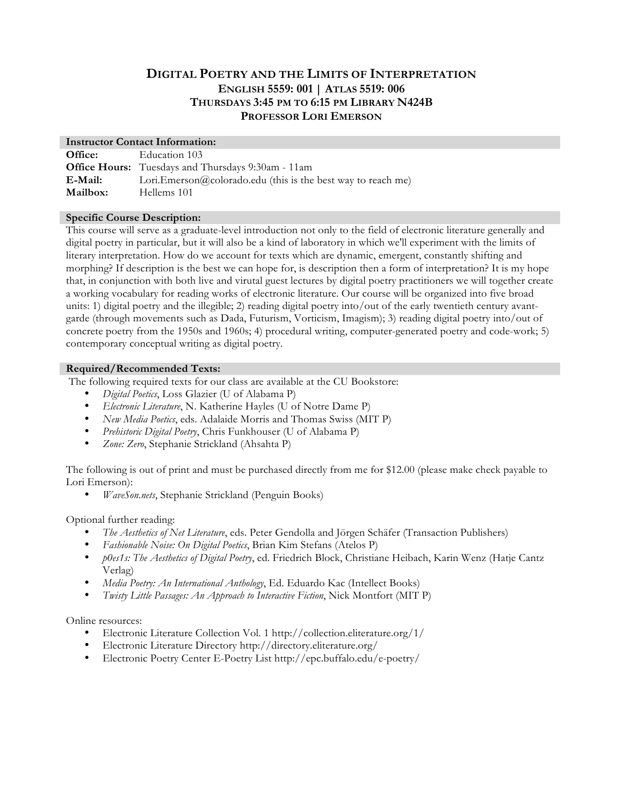# **DIGITAL POETRY AND THE LIMITS OF INTERPRETATION ENGLISH 5559: 001 | ATLAS 5519: 006 THURSDAYS 3:45 PM TO 6:15 PM LIBRARY N424B PROFESSOR LORI EMERSON**

#### **Instructor Contact Information:**

| Office:         | Education 103                                                |
|-----------------|--------------------------------------------------------------|
|                 | <b>Office Hours:</b> Tuesdays and Thursdays 9:30am - 11am    |
| E-Mail:         | Lori.Emerson@colorado.edu (this is the best way to reach me) |
| <b>Mailbox:</b> | Hellems 101                                                  |

#### **Specific Course Description:**

This course will serve as a graduate-level introduction not only to the field of electronic literature generally and digital poetry in particular, but it will also be a kind of laboratory in which we'll experiment with the limits of literary interpretation. How do we account for texts which are dynamic, emergent, constantly shifting and morphing? If description is the best we can hope for, is description then a form of interpretation? It is my hope that, in conjunction with both live and virutal guest lectures by digital poetry practitioners we will together create a working vocabulary for reading works of electronic literature. Our course will be organized into five broad units: 1) digital poetry and the illegible; 2) reading digital poetry into/out of the early twentieth century avantgarde (through movements such as Dada, Futurism, Vorticism, Imagism); 3) reading digital poetry into/out of concrete poetry from the 1950s and 1960s; 4) procedural writing, computer-generated poetry and code-work; 5) contemporary conceptual writing as digital poetry.

#### **Required/Recommended Texts:**

The following required texts for our class are available at the CU Bookstore:

- *Digital Poetics*, Loss Glazier (U of Alabama P)
- *Electronic Literature*, N. Katherine Hayles (U of Notre Dame P)
- *New Media Poetics*, eds. Adalaide Morris and Thomas Swiss (MIT P)
- *Prehistoric Digital Poetry*, Chris Funkhouser (U of Alabama P)
- *Zone: Zero*, Stephanie Strickland (Ahsahta P)

The following is out of print and must be purchased directly from me for \$12.00 (please make check payable to Lori Emerson):

• *WaveSon.nets*, Stephanie Strickland (Penguin Books)

Optional further reading:

- *The Aesthetics of Net Literature*, eds. Peter Gendolla and Jörgen Schäfer (Transaction Publishers)
- *Fashionable Noise: On Digital Poetics*, Brian Kim Stefans (Atelos P)
- *p0es1s: The Aesthetics of Digital Poetry*, ed. Friedrich Block, Christiane Heibach, Karin Wenz (Hatje Cantz Verlag)
- *Media Poetry: An International Anthology*, Ed. Eduardo Kac (Intellect Books)
- *Twisty Little Passages: An Approach to Interactive Fiction*, Nick Montfort (MIT P)

Online resources:

- Electronic Literature Collection Vol. 1 http://collection.eliterature.org/1/
- Electronic Literature Directory http://directory.eliterature.org/
- Electronic Poetry Center E-Poetry List http://epc.buffalo.edu/e-poetry/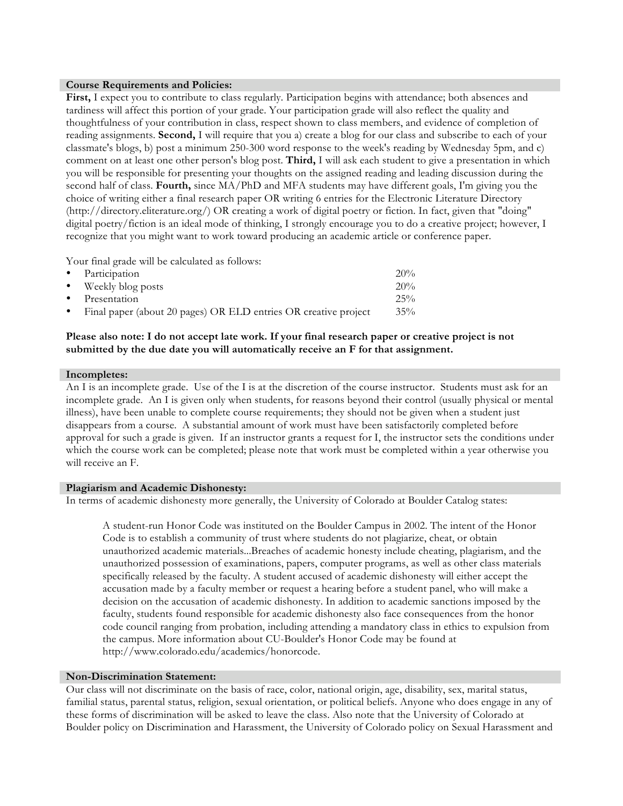#### **Course Requirements and Policies:**

**First,** I expect you to contribute to class regularly. Participation begins with attendance; both absences and tardiness will affect this portion of your grade. Your participation grade will also reflect the quality and thoughtfulness of your contribution in class, respect shown to class members, and evidence of completion of reading assignments. **Second,** I will require that you a) create a blog for our class and subscribe to each of your classmate's blogs, b) post a minimum 250-300 word response to the week's reading by Wednesday 5pm, and c) comment on at least one other person's blog post. **Third,** I will ask each student to give a presentation in which you will be responsible for presenting your thoughts on the assigned reading and leading discussion during the second half of class. **Fourth,** since MA/PhD and MFA students may have different goals, I'm giving you the choice of writing either a final research paper OR writing 6 entries for the Electronic Literature Directory (http://directory.eliterature.org/) OR creating a work of digital poetry or fiction. In fact, given that "doing" digital poetry/fiction is an ideal mode of thinking, I strongly encourage you to do a creative project; however, I recognize that you might want to work toward producing an academic article or conference paper.

Your final grade will be calculated as follows:

|           | • Participation                                                 | 20% |
|-----------|-----------------------------------------------------------------|-----|
|           | • Weekly blog posts                                             | 20% |
|           | • Presentation                                                  | 25% |
| $\bullet$ | Final paper (about 20 pages) OR ELD entries OR creative project | 35% |

#### **Please also note: I do not accept late work. If your final research paper or creative project is not submitted by the due date you will automatically receive an F for that assignment.**

#### **Incompletes:**

An I is an incomplete grade. Use of the I is at the discretion of the course instructor. Students must ask for an incomplete grade. An I is given only when students, for reasons beyond their control (usually physical or mental illness), have been unable to complete course requirements; they should not be given when a student just disappears from a course. A substantial amount of work must have been satisfactorily completed before approval for such a grade is given. If an instructor grants a request for I, the instructor sets the conditions under which the course work can be completed; please note that work must be completed within a year otherwise you will receive an F.

#### **Plagiarism and Academic Dishonesty:**

In terms of academic dishonesty more generally, the University of Colorado at Boulder Catalog states:

A student-run Honor Code was instituted on the Boulder Campus in 2002. The intent of the Honor Code is to establish a community of trust where students do not plagiarize, cheat, or obtain unauthorized academic materials...Breaches of academic honesty include cheating, plagiarism, and the unauthorized possession of examinations, papers, computer programs, as well as other class materials specifically released by the faculty. A student accused of academic dishonesty will either accept the accusation made by a faculty member or request a hearing before a student panel, who will make a decision on the accusation of academic dishonesty. In addition to academic sanctions imposed by the faculty, students found responsible for academic dishonesty also face consequences from the honor code council ranging from probation, including attending a mandatory class in ethics to expulsion from the campus. More information about CU-Boulder's Honor Code may be found at http://www.colorado.edu/academics/honorcode.

#### **Non-Discrimination Statement:**

Our class will not discriminate on the basis of race, color, national origin, age, disability, sex, marital status, familial status, parental status, religion, sexual orientation, or political beliefs. Anyone who does engage in any of these forms of discrimination will be asked to leave the class. Also note that the University of Colorado at Boulder policy on Discrimination and Harassment, the University of Colorado policy on Sexual Harassment and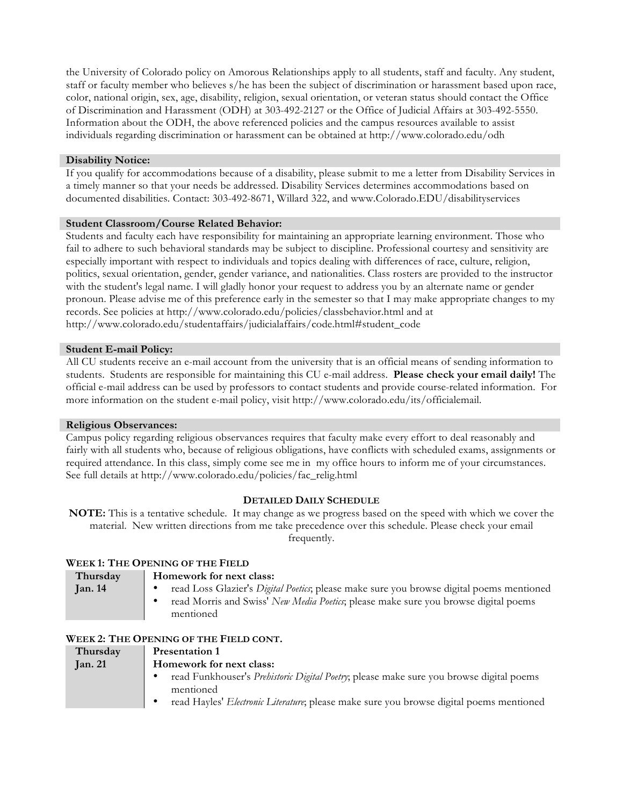the University of Colorado policy on Amorous Relationships apply to all students, staff and faculty. Any student, staff or faculty member who believes s/he has been the subject of discrimination or harassment based upon race, color, national origin, sex, age, disability, religion, sexual orientation, or veteran status should contact the Office of Discrimination and Harassment (ODH) at 303-492-2127 or the Office of Judicial Affairs at 303-492-5550. Information about the ODH, the above referenced policies and the campus resources available to assist individuals regarding discrimination or harassment can be obtained at http://www.colorado.edu/odh

#### **Disability Notice:**

If you qualify for accommodations because of a disability, please submit to me a letter from Disability Services in a timely manner so that your needs be addressed. Disability Services determines accommodations based on documented disabilities. Contact: 303-492-8671, Willard 322, and www.Colorado.EDU/disabilityservices

#### **Student Classroom/Course Related Behavior:**

Students and faculty each have responsibility for maintaining an appropriate learning environment. Those who fail to adhere to such behavioral standards may be subject to discipline. Professional courtesy and sensitivity are especially important with respect to individuals and topics dealing with differences of race, culture, religion, politics, sexual orientation, gender, gender variance, and nationalities. Class rosters are provided to the instructor with the student's legal name. I will gladly honor your request to address you by an alternate name or gender pronoun. Please advise me of this preference early in the semester so that I may make appropriate changes to my records. See policies at http://www.colorado.edu/policies/classbehavior.html and at http://www.colorado.edu/studentaffairs/judicialaffairs/code.html#student\_code

#### **Student E-mail Policy:**

All CU students receive an e-mail account from the university that is an official means of sending information to students. Students are responsible for maintaining this CU e-mail address. **Please check your email daily!** The official e-mail address can be used by professors to contact students and provide course-related information. For more information on the student e-mail policy, visit http://www.colorado.edu/its/officialemail.

## **Religious Observances:**

Campus policy regarding religious observances requires that faculty make every effort to deal reasonably and fairly with all students who, because of religious obligations, have conflicts with scheduled exams, assignments or required attendance. In this class, simply come see me in my office hours to inform me of your circumstances. See full details at http://www.colorado.edu/policies/fac\_relig.html

## **DETAILED DAILY SCHEDULE**

**NOTE:** This is a tentative schedule. It may change as we progress based on the speed with which we cover the material. New written directions from me take precedence over this schedule. Please check your email frequently.

## **WEEK 1: THE OPENING OF THE FIELD**

| Thursday       | Homework for next class:                                                                         |  |
|----------------|--------------------------------------------------------------------------------------------------|--|
| <b>Jan.</b> 14 | read Loss Glazier's <i>Digital Poetics</i> ; please make sure you browse digital poems mentioned |  |
|                | read Morris and Swiss' New Media Poetics; please make sure you browse digital poems              |  |
|                | mentioned                                                                                        |  |

## **WEEK 2: THE OPENING OF THE FIELD CONT.**

| Thursday       | <b>Presentation 1</b>                                                                           |  |
|----------------|-------------------------------------------------------------------------------------------------|--|
| <b>Jan. 21</b> | Homework for next class:                                                                        |  |
|                | read Funkhouser's <i>Prehistoric Digital Poetry</i> ; please make sure you browse digital poems |  |
|                | mentioned                                                                                       |  |
|                | read Hayles' <i>Electronic Literature</i> ; please make sure you browse digital poems mentioned |  |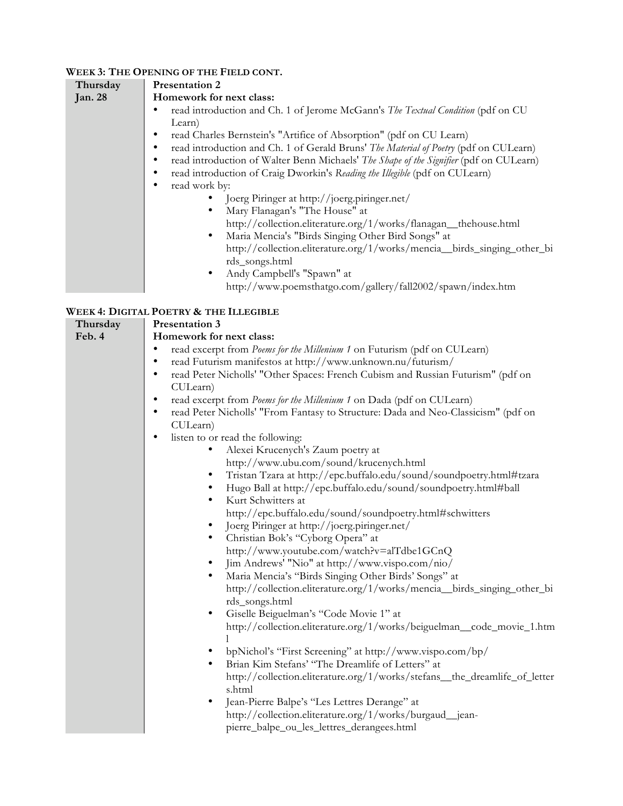# **WEEK 3: THE OPENING OF THE FIELD CONT.**

| Thursday       | <b>Presentation 2</b>                                                                       |  |  |
|----------------|---------------------------------------------------------------------------------------------|--|--|
| <b>Jan. 28</b> | Homework for next class:                                                                    |  |  |
|                | read introduction and Ch. 1 of Jerome McGann's <i>The Textual Condition</i> (pdf on CU)     |  |  |
|                | Learn)                                                                                      |  |  |
|                | read Charles Bernstein's "Artifice of Absorption" (pdf on CU Learn)<br>٠                    |  |  |
|                | read introduction and Ch. 1 of Gerald Bruns' The Material of Poetry (pdf on CULearn)        |  |  |
|                | read introduction of Walter Benn Michaels' The Shape of the Signifier (pdf on CULearn)<br>٠ |  |  |
|                | read introduction of Craig Dworkin's Reading the Illegible (pdf on CULearn)<br>٠            |  |  |
|                | read work by:<br>$\bullet$                                                                  |  |  |
|                | Joerg Piringer at http://joerg.piringer.net/                                                |  |  |
|                | Mary Flanagan's "The House" at                                                              |  |  |
|                | http://collection.eliterature.org/1/works/flanagan_thehouse.html                            |  |  |
|                | Maria Mencia's "Birds Singing Other Bird Songs" at<br>$\bullet$                             |  |  |
|                | http://collection.eliterature.org/1/works/mencia_birds_singing_other_bi                     |  |  |
|                | rds_songs.html                                                                              |  |  |
|                | Andy Campbell's "Spawn" at<br>٠                                                             |  |  |
|                | http://www.poemsthatgo.com/gallery/fall2002/spawn/index.htm                                 |  |  |
|                |                                                                                             |  |  |

# **WEEK 4: DIGITAL POETRY & THE ILLEGIBLE**

| Thursday | <b>Presentation 3</b>                                                                          |  |  |
|----------|------------------------------------------------------------------------------------------------|--|--|
| Feb. 4   | Homework for next class:                                                                       |  |  |
|          | read excerpt from Poems for the Millenium 1 on Futurism (pdf on CULearn)<br>$\bullet$          |  |  |
|          | read Futurism manifestos at http://www.unknown.nu/futurism/<br>$\bullet$                       |  |  |
|          | read Peter Nicholls' "Other Spaces: French Cubism and Russian Futurism" (pdf on<br>$\bullet$   |  |  |
|          | CULearn)                                                                                       |  |  |
|          | read excerpt from Poems for the Millenium 1 on Dada (pdf on CULearn)<br>٠                      |  |  |
|          | read Peter Nicholls' "From Fantasy to Structure: Dada and Neo-Classicism" (pdf on<br>$\bullet$ |  |  |
|          | CULearn)                                                                                       |  |  |
|          | listen to or read the following:<br>٠                                                          |  |  |
|          | Alexei Krucenych's Zaum poetry at<br>$\bullet$                                                 |  |  |
|          | http://www.ubu.com/sound/krucenych.html                                                        |  |  |
|          | Tristan Tzara at http://epc.buffalo.edu/sound/soundpoetry.html#tzara<br>$\bullet$              |  |  |
|          | Hugo Ball at http://epc.buffalo.edu/sound/soundpoetry.html#ball<br>$\bullet$                   |  |  |
|          | Kurt Schwitters at<br>$\bullet$                                                                |  |  |
|          | http://epc.buffalo.edu/sound/soundpoetry.html#schwitters                                       |  |  |
|          | Joerg Piringer at http://joerg.piringer.net/<br>$\bullet$                                      |  |  |
|          | Christian Bok's "Cyborg Opera" at<br>$\bullet$                                                 |  |  |
|          | http://www.youtube.com/watch?v=alTdbe1GCnQ                                                     |  |  |
|          | Jim Andrews' "Nio" at http://www.vispo.com/nio/<br>$\bullet$                                   |  |  |
|          | Maria Mencia's "Birds Singing Other Birds' Songs" at<br>$\bullet$                              |  |  |
|          | http://collection.eliterature.org/1/works/mencia_birds_singing_other_bi                        |  |  |
|          | rds_songs.html                                                                                 |  |  |
|          | Giselle Beiguelman's "Code Movie 1" at<br>$\bullet$                                            |  |  |
|          | http://collection.eliterature.org/1/works/beiguelman_code_movie_1.htm                          |  |  |
|          |                                                                                                |  |  |
|          | bpNichol's "First Screening" at http://www.vispo.com/bp/                                       |  |  |
|          | Brian Kim Stefans' "The Dreamlife of Letters" at<br>$\bullet$                                  |  |  |
|          | http://collection.eliterature.org/1/works/stefans_the_dreamlife_of_letter                      |  |  |
|          | s.html                                                                                         |  |  |
|          | Jean-Pierre Balpe's "Les Lettres Derange" at<br>$\bullet$                                      |  |  |
|          | http://collection.eliterature.org/1/works/burgaud_jean-                                        |  |  |
|          | pierre_balpe_ou_les_lettres_derangees.html                                                     |  |  |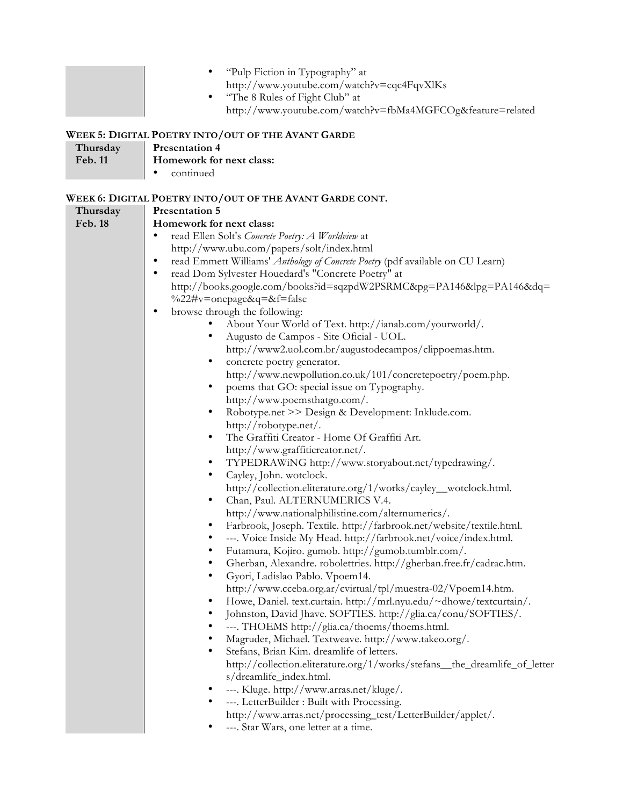|                            | "Pulp Fiction in Typography" at<br>$\bullet$<br>http://www.youtube.com/watch?v=cqc4FqvXlKs<br>"The 8 Rules of Fight Club" at<br>$\bullet$<br>http://www.youtube.com/watch?v=fbMa4MGFCOg&feature=related                                                                                                                                                                                                                                                                                                                                                                                                                                                                                                                                                                                                                                                                                                                                                                                                                                                                                                                                                                                                                                                                                                                                                                                                                                                                                                                                                                                                                                                                                                                                                                                                                                                                                                                                                                                                                                                                                                                                                                                                                                                                                                                                                                                                                                                               |
|----------------------------|-----------------------------------------------------------------------------------------------------------------------------------------------------------------------------------------------------------------------------------------------------------------------------------------------------------------------------------------------------------------------------------------------------------------------------------------------------------------------------------------------------------------------------------------------------------------------------------------------------------------------------------------------------------------------------------------------------------------------------------------------------------------------------------------------------------------------------------------------------------------------------------------------------------------------------------------------------------------------------------------------------------------------------------------------------------------------------------------------------------------------------------------------------------------------------------------------------------------------------------------------------------------------------------------------------------------------------------------------------------------------------------------------------------------------------------------------------------------------------------------------------------------------------------------------------------------------------------------------------------------------------------------------------------------------------------------------------------------------------------------------------------------------------------------------------------------------------------------------------------------------------------------------------------------------------------------------------------------------------------------------------------------------------------------------------------------------------------------------------------------------------------------------------------------------------------------------------------------------------------------------------------------------------------------------------------------------------------------------------------------------------------------------------------------------------------------------------------------------|
| Thursday<br>Feb. 11        | WEEK 5: DIGITAL POETRY INTO/OUT OF THE AVANT GARDE<br><b>Presentation 4</b><br>Homework for next class:<br>continued                                                                                                                                                                                                                                                                                                                                                                                                                                                                                                                                                                                                                                                                                                                                                                                                                                                                                                                                                                                                                                                                                                                                                                                                                                                                                                                                                                                                                                                                                                                                                                                                                                                                                                                                                                                                                                                                                                                                                                                                                                                                                                                                                                                                                                                                                                                                                  |
| Thursday<br><b>Feb. 18</b> | WEEK 6: DIGITAL POETRY INTO/OUT OF THE AVANT GARDE CONT.<br><b>Presentation 5</b><br>Homework for next class:<br>read Ellen Solt's Concrete Poetry: A Worldview at<br>$\bullet$<br>http://www.ubu.com/papers/solt/index.html<br>read Emmett Williams' Anthology of Concrete Poetry (pdf available on CU Learn)<br>$\bullet$<br>read Dom Sylvester Houedard's "Concrete Poetry" at<br>$\bullet$<br>http://books.google.com/books?id=sqzpdW2PSRMC&pg=PA146&lpg=PA146&dq=<br>%22#v=onepage&q=&f=false<br>browse through the following:<br>٠<br>About Your World of Text. http://ianab.com/yourworld/.<br>Augusto de Campos - Site Oficial - UOL.<br>٠<br>http://www2.uol.com.br/augustodecampos/clippoemas.htm.<br>concrete poetry generator.<br>$\bullet$<br>http://www.newpollution.co.uk/101/concretepoetry/poem.php.<br>poems that GO: special issue on Typography.<br>$\bullet$<br>http://www.poemsthatgo.com/.<br>Robotype.net >> Design & Development: Inklude.com.<br>$\bullet$<br>http://robotype.net/.<br>The Graffiti Creator - Home Of Graffiti Art.<br>$\bullet$<br>http://www.graffiticreator.net/.<br>TYPEDRAWiNG http://www.storyabout.net/typedrawing/.<br>٠<br>$\bullet$<br>Cayley, John. wotclock.<br>http://collection.eliterature.org/1/works/cayley_wotclock.html.<br>Chan, Paul. ALTERNUMERICS V.4.<br>$\bullet$<br>http://www.nationalphilistine.com/alternumerics/.<br>Farbrook, Joseph. Textile. http://farbrook.net/website/textile.html.<br>---. Voice Inside My Head. http://farbrook.net/voice/index.html.<br>Futamura, Kojiro. gumob. http://gumob.tumblr.com/.<br>$\bullet$<br>Gherban, Alexandre. robolettries. http://gherban.free.fr/cadrac.htm.<br>٠<br>Gyori, Ladislao Pablo. Vpoem14.<br>$\bullet$<br>http://www.cceba.org.ar/cvirtual/tpl/muestra-02/Vpoem14.htm.<br>Howe, Daniel. text.curtain. http://mrl.nyu.edu/~dhowe/textcurtain/.<br>$\bullet$<br>Johnston, David Jhave. SOFTIES. http://glia.ca/conu/SOFTIES/.<br>٠<br>---. THOEMS http://glia.ca/thoems/thoems.html.<br>Magruder, Michael. Textweave. http://www.takeo.org/.<br>٠<br>Stefans, Brian Kim. dreamlife of letters.<br>$\bullet$<br>http://collection.eliterature.org/1/works/stefans_the_dreamlife_of_letter<br>s/dreamlife_index.html.<br>---. Kluge. http://www.arras.net/kluge/.<br>٠<br>---. LetterBuilder : Built with Processing.<br>$\bullet$<br>http://www.arras.net/processing_test/LetterBuilder/applet/.<br>---. Star Wars, one letter at a time. |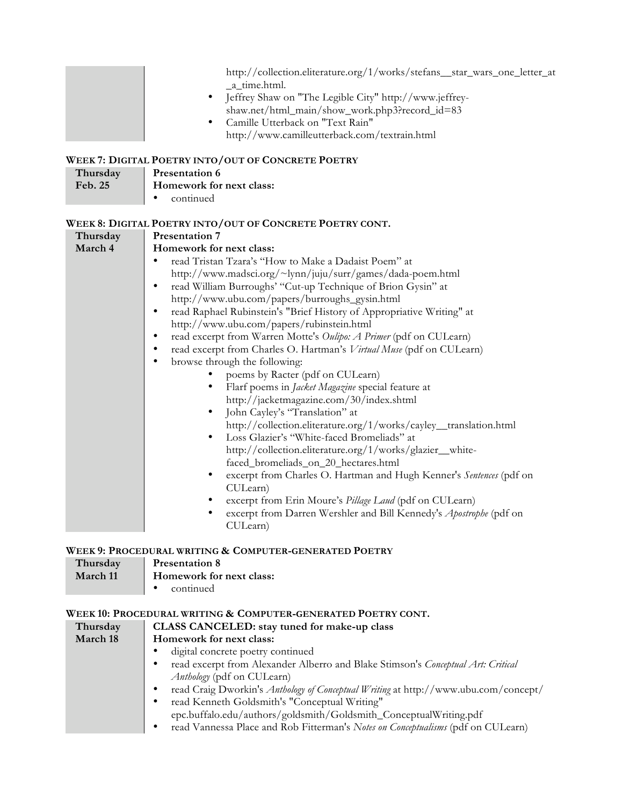|                     | http://collection.eliterature.org/1/works/stefans_star_wars_one_letter_at<br>_a_time.html.<br>Jeffrey Shaw on "The Legible City" http://www.jeffrey-<br>$\bullet$<br>shaw.net/html_main/show_work.php3?record_id=83<br>Camille Utterback on "Text Rain"<br>$\bullet$<br>http://www.camilleutterback.com/textrain.html |  |
|---------------------|-----------------------------------------------------------------------------------------------------------------------------------------------------------------------------------------------------------------------------------------------------------------------------------------------------------------------|--|
|                     | WEEK 7: DIGITAL POETRY INTO/OUT OF CONCRETE POETRY                                                                                                                                                                                                                                                                    |  |
| Thursday<br>Feb. 25 | <b>Presentation 6</b><br>Homework for next class:                                                                                                                                                                                                                                                                     |  |
|                     | continued<br>$\bullet$                                                                                                                                                                                                                                                                                                |  |
| Thursday            | WEEK 8: DIGITAL POETRY INTO/OUT OF CONCRETE POETRY CONT.<br><b>Presentation 7</b>                                                                                                                                                                                                                                     |  |
| March 4             | Homework for next class:                                                                                                                                                                                                                                                                                              |  |
|                     | read Tristan Tzara's "How to Make a Dadaist Poem" at<br>$\bullet$                                                                                                                                                                                                                                                     |  |
|                     | http://www.madsci.org/~lynn/juju/surr/games/dada-poem.html                                                                                                                                                                                                                                                            |  |
|                     | read William Burroughs' "Cut-up Technique of Brion Gysin" at<br>$\bullet$                                                                                                                                                                                                                                             |  |
|                     | http://www.ubu.com/papers/burroughs_gysin.html                                                                                                                                                                                                                                                                        |  |
|                     | read Raphael Rubinstein's "Brief History of Appropriative Writing" at<br>$\bullet$                                                                                                                                                                                                                                    |  |
|                     | http://www.ubu.com/papers/rubinstein.html<br>read excerpt from Warren Motte's Oulipo: A Primer (pdf on CULearn)<br>$\bullet$                                                                                                                                                                                          |  |
|                     | read excerpt from Charles O. Hartman's Virtual Muse (pdf on CULearn)                                                                                                                                                                                                                                                  |  |
|                     | browse through the following:                                                                                                                                                                                                                                                                                         |  |
|                     | poems by Racter (pdf on CULearn)                                                                                                                                                                                                                                                                                      |  |
|                     | Flarf poems in Jacket Magazine special feature at                                                                                                                                                                                                                                                                     |  |
|                     | http://jacketmagazine.com/30/index.shtml                                                                                                                                                                                                                                                                              |  |
|                     | John Cayley's "Translation" at<br>$\bullet$                                                                                                                                                                                                                                                                           |  |
|                     | http://collection.eliterature.org/1/works/cayley_translation.html                                                                                                                                                                                                                                                     |  |
|                     | Loss Glazier's "White-faced Bromeliads" at<br>$\bullet$                                                                                                                                                                                                                                                               |  |
|                     | http://collection.eliterature.org/1/works/glazier_white-                                                                                                                                                                                                                                                              |  |
|                     | faced_bromeliads_on_20_hectares.html                                                                                                                                                                                                                                                                                  |  |
|                     | excerpt from Charles O. Hartman and Hugh Kenner's Sentences (pdf on<br>$\bullet$<br>CULearn)                                                                                                                                                                                                                          |  |
|                     | excerpt from Erin Moure's Pillage Laud (pdf on CULearn)                                                                                                                                                                                                                                                               |  |
|                     | excerpt from Darren Wershler and Bill Kennedy's Apostrophe (pdf on<br>CULearn)                                                                                                                                                                                                                                        |  |
|                     | WEEK 9: PROCEDURAL WRITING & COMPUTER-GENERATED POETRY                                                                                                                                                                                                                                                                |  |
| Thursday            | <b>Presentation 8</b>                                                                                                                                                                                                                                                                                                 |  |
| March 11            | Homework for next class:                                                                                                                                                                                                                                                                                              |  |
|                     | continued                                                                                                                                                                                                                                                                                                             |  |

# **WEEK 10: PROCEDURAL WRITING & COMPUTER-GENERATED POETRY CONT.**

| Thursday                                                                              | CLASS CANCELED: stay tuned for make-up class                                             |
|---------------------------------------------------------------------------------------|------------------------------------------------------------------------------------------|
| March 18                                                                              | Homework for next class:                                                                 |
|                                                                                       | digital concrete poetry continued                                                        |
| read excerpt from Alexander Alberro and Blake Stimson's Conceptual Art: Critical<br>٠ |                                                                                          |
|                                                                                       | <i>Anthology</i> (pdf on CULearn)                                                        |
|                                                                                       | read Craig Dworkin's Anthology of Conceptual Writing at http://www.ubu.com/concept/<br>٠ |
|                                                                                       | read Kenneth Goldsmith's "Conceptual Writing"<br>٠                                       |
|                                                                                       | epc.buffalo.edu/authors/goldsmith/Goldsmith_ConceptualWriting.pdf                        |
|                                                                                       | read Vannessa Place and Rob Fitterman's Notes on Conceptualisms (pdf on CULearn)         |